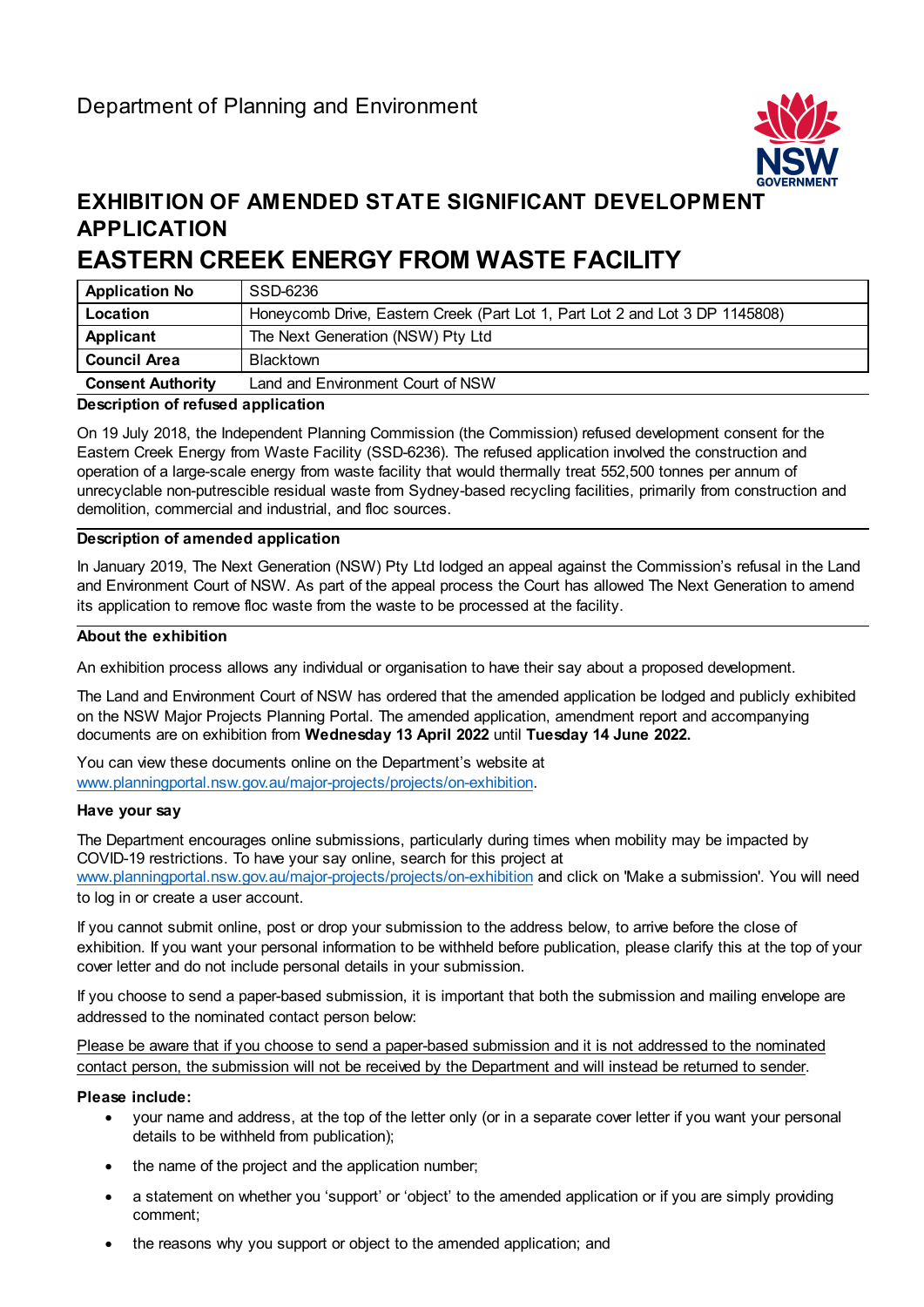

## **EXHIBITION OF AMENDED STATE SIGNIFICANT DEVELOPMENT APPLICATION**

# **EASTERN CREEK ENERGY FROM WASTE FACILITY**

| <b>Application No</b>    | SSD-6236                                                                     |
|--------------------------|------------------------------------------------------------------------------|
| Location                 | Honeycomb Drive, Eastern Creek (Part Lot 1, Part Lot 2 and Lot 3 DP 1145808) |
| Applicant                | The Next Generation (NSW) Pty Ltd                                            |
| <b>Council Area</b>      | <b>Blacktown</b>                                                             |
| <b>Consent Authority</b> | Land and Environment Court of NSW                                            |

#### **Description of refused application**

On 19 July 2018, the Independent Planning Commission (the Commission) refused development consent for the Eastern Creek Energy from Waste Facility (SSD-6236). The refused application involved the construction and operation of a large-scale energy from waste facility that would thermally treat 552,500 tonnes per annum of unrecyclable non-putrescible residual waste from Sydney-based recycling facilities, primarily from construction and demolition, commercial and industrial, and floc sources.

#### **Description of amended application**

In January 2019, The Next Generation (NSW) Pty Ltd lodged an appeal against the Commission's refusal in the Land and Environment Court of NSW. As part of the appeal process the Court has allowed The Next Generation to amend its application to remove floc waste from the waste to be processed at the facility.

#### **About the exhibition**

An exhibition process allows any individual or organisation to have their say about a proposed development.

The Land and Environment Court of NSW has ordered that the amended application be lodged and publicly exhibited on the NSW Major Projects Planning Portal. The amended application, amendment report and accompanying documents are on exhibition from **Wednesday 13 April 2022** until **Tuesday 14 June 2022.**

You can view these documents online on the Department's website at [www.planningportal.nsw.gov.au/major-projects/projects/on-exhibition.](http://www.planningportal.nsw.gov.au/major-projects/projects/on-exhibition)

#### **Have your say**

The Department encourages online submissions, particularly during times when mobility may be impacted by COVID-19 restrictions. To have your say online, search for this project at [www.planningportal.nsw.gov.au/major-projects/projects/on-exhibition](http://www.planningportal.nsw.gov.au/major-projects/projects/on-exhibition) and click on 'Make a submission'. You will need to log in or create a user account.

If you cannot submit online, post or drop your submission to the address below, to arrive before the close of exhibition. If you want your personal information to be withheld before publication, please clarify this at the top of your cover letter and do not include personal details in your submission.

If you choose to send a paper-based submission, it is important that both the submission and mailing envelope are addressed to the nominated contact person below:

Please be aware that if you choose to send a paper-based submission and it is not addressed to the nominated contact person, the submission will not be received by the Department and will instead be returned to sender.

#### **Please include:**

- your name and address, at the top of the letter only (or in a separate cover letter if you want your personal details to be withheld from publication);
- the name of the project and the application number;
- a statement on whether you 'support' or 'object' to the amended application or if you are simply providing comment;
- the reasons why you support or object to the amended application; and